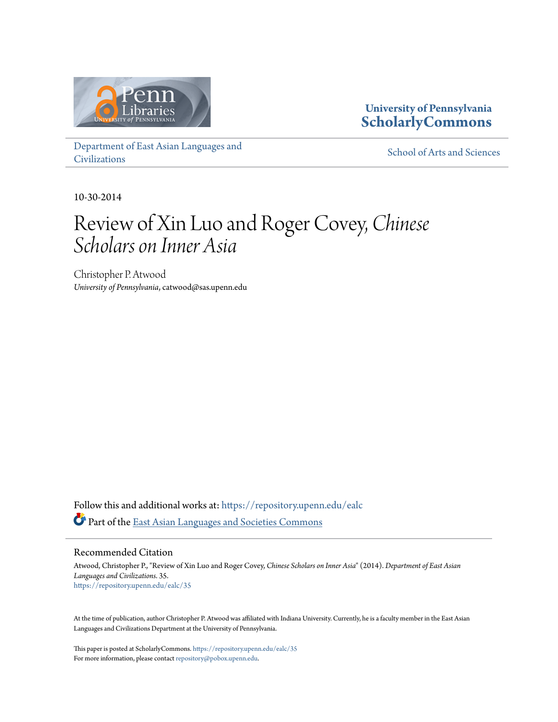

### **University of Pennsylvania [ScholarlyCommons](https://repository.upenn.edu?utm_source=repository.upenn.edu%2Fealc%2F35&utm_medium=PDF&utm_campaign=PDFCoverPages)**

[Department of East Asian Languages and](https://repository.upenn.edu/ealc?utm_source=repository.upenn.edu%2Fealc%2F35&utm_medium=PDF&utm_campaign=PDFCoverPages) [Civilizations](https://repository.upenn.edu/ealc?utm_source=repository.upenn.edu%2Fealc%2F35&utm_medium=PDF&utm_campaign=PDFCoverPages)

[School of Arts and Sciences](https://repository.upenn.edu/sas?utm_source=repository.upenn.edu%2Fealc%2F35&utm_medium=PDF&utm_campaign=PDFCoverPages)

10-30-2014

# Review of Xin Luo and Roger Covey, *Chinese Scholars on Inner Asia*

Christopher P. Atwood *University of Pennsylvania*, catwood@sas.upenn.edu

Follow this and additional works at: [https://repository.upenn.edu/ealc](https://repository.upenn.edu/ealc?utm_source=repository.upenn.edu%2Fealc%2F35&utm_medium=PDF&utm_campaign=PDFCoverPages) Part of the [East Asian Languages and Societies Commons](http://network.bepress.com/hgg/discipline/481?utm_source=repository.upenn.edu%2Fealc%2F35&utm_medium=PDF&utm_campaign=PDFCoverPages)

Recommended Citation

Atwood, Christopher P., "Review of Xin Luo and Roger Covey, *Chinese Scholars on Inner Asia*" (2014). *Department of East Asian Languages and Civilizations*. 35. [https://repository.upenn.edu/ealc/35](https://repository.upenn.edu/ealc/35?utm_source=repository.upenn.edu%2Fealc%2F35&utm_medium=PDF&utm_campaign=PDFCoverPages)

At the time of publication, author Christopher P. Atwood was affiliated with Indiana University. Currently, he is a faculty member in the East Asian Languages and Civilizations Department at the University of Pennsylvania.

This paper is posted at ScholarlyCommons. <https://repository.upenn.edu/ealc/35> For more information, please contact [repository@pobox.upenn.edu.](mailto:repository@pobox.upenn.edu)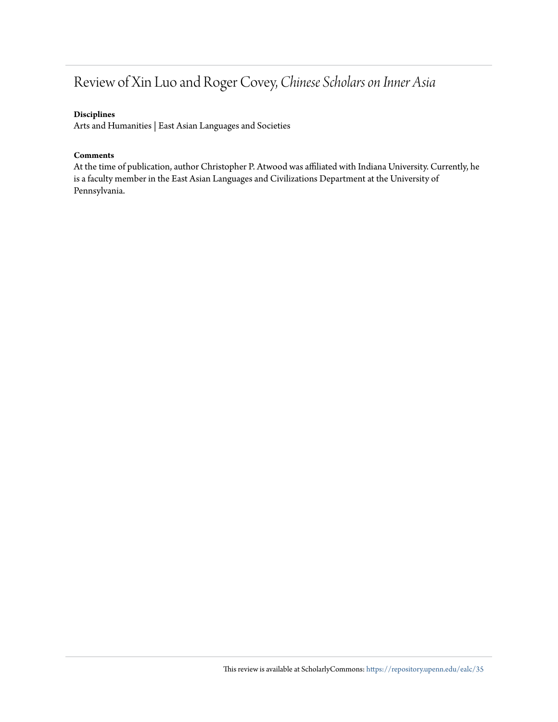## Review of Xin Luo and Roger Covey, *Chinese Scholars on Inner Asia*

### **Disciplines**

Arts and Humanities | East Asian Languages and Societies

#### **Comments**

At the time of publication, author Christopher P. Atwood was affiliated with Indiana University. Currently, he is a faculty member in the East Asian Languages and Civilizations Department at the University of Pennsylvania.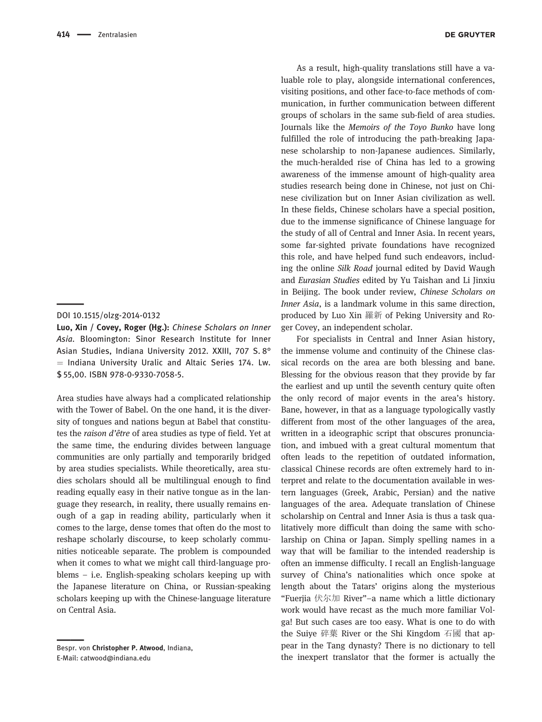$\overline{\phantom{a}}$ 

Area studies have always had a complicated relationship with the Tower of Babel. On the one hand, it is the diversity of tongues and nations begun at Babel that constitutes the raison d'être of area studies as type of field. Yet at the same time, the enduring divides between language communities are only partially and temporarily bridged by area studies specialists. While theoretically, area studies scholars should all be multilingual enough to find reading equally easy in their native tongue as in the language they research, in reality, there usually remains enough of a gap in reading ability, particularly when it comes to the large, dense tomes that often do the most to reshape scholarly discourse, to keep scholarly communities noticeable separate. The problem is compounded when it comes to what we might call third-language problems – i.e. English-speaking scholars keeping up with the Japanese literature on China, or Russian-speaking scholars keeping up with the Chinese-language literature on Central Asia.

E-Mail: catwood@indiana.edu

——

As a result, high-quality translations still have a valuable role to play, alongside international conferences, visiting positions, and other face-to-face methods of communication, in further communication between different groups of scholars in the same sub-field of area studies. Journals like the Memoirs of the Toyo Bunko have long fulfilled the role of introducing the path-breaking Japanese scholarship to non-Japanese audiences. Similarly, the much-heralded rise of China has led to a growing awareness of the immense amount of high-quality area studies research being done in Chinese, not just on Chinese civilization but on Inner Asian civilization as well. In these fields, Chinese scholars have a special position, due to the immense significance of Chinese language for the study of all of Central and Inner Asia. In recent years, some far-sighted private foundations have recognized this role, and have helped fund such endeavors, including the online Silk Road journal edited by David Waugh and Eurasian Studies edited by Yu Taishan and Li Jinxiu in Beijing. The book under review, Chinese Scholars on Inner Asia, is a landmark volume in this same direction, produced by Luo Xin 羅新 of Peking University and Roger Covey, an independent scholar.

For specialists in Central and Inner Asian history, the immense volume and continuity of the Chinese classical records on the area are both blessing and bane. Blessing for the obvious reason that they provide by far the earliest and up until the seventh century quite often the only record of major events in the area's history. Bane, however, in that as a language typologically vastly different from most of the other languages of the area, written in a ideographic script that obscures pronunciation, and imbued with a great cultural momentum that often leads to the repetition of outdated information, classical Chinese records are often extremely hard to interpret and relate to the documentation available in western languages (Greek, Arabic, Persian) and the native languages of the area. Adequate translation of Chinese scholarship on Central and Inner Asia is thus a task qualitatively more difficult than doing the same with scholarship on China or Japan. Simply spelling names in a way that will be familiar to the intended readership is often an immense difficulty. I recall an English-language survey of China's nationalities which once spoke at length about the Tatars' origins along the mysterious "Fuerjia 伏尔加 River"–a name which a little dictionary work would have recast as the much more familiar Volga! But such cases are too easy. What is one to do with the Suiye 碎葉 River or the Shi Kingdom 石國 that appear in the Tang dynasty? There is no dictionary to tell the inexpert translator that the former is actually the

DOI 10.1515/olzg-2014-0132

Luo, Xin / Covey, Roger (Hg.): Chinese Scholars on Inner Asia. Bloomington: Sinor Research Institute for Inner Asian Studies, Indiana University 2012. XXIII, 707 S. 8°  $=$  Indiana University Uralic and Altaic Series 174. Lw. \$ 55,00. ISBN 978-0-9330-7058-5.

Bespr. von Christopher P. Atwood, Indiana,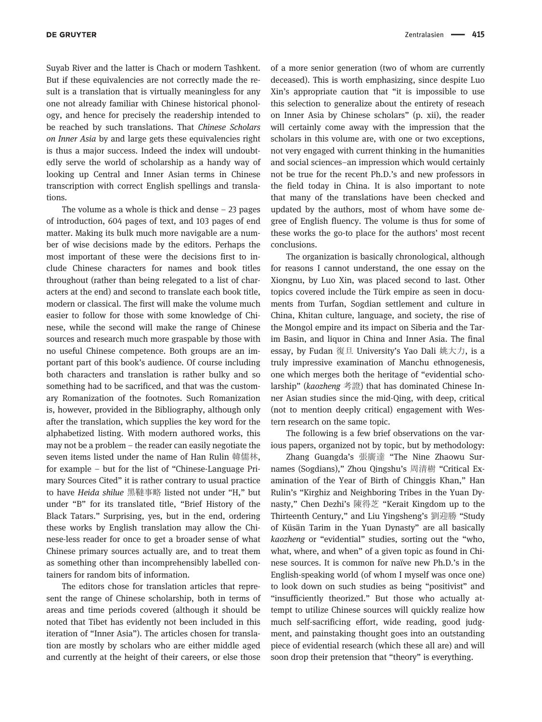Suyab River and the latter is Chach or modern Tashkent. But if these equivalencies are not correctly made the result is a translation that is virtually meaningless for any one not already familiar with Chinese historical phonology, and hence for precisely the readership intended to be reached by such translations. That Chinese Scholars on Inner Asia by and large gets these equivalencies right is thus a major success. Indeed the index will undoubtedly serve the world of scholarship as a handy way of looking up Central and Inner Asian terms in Chinese transcription with correct English spellings and translations.

The volume as a whole is thick and dense  $-23$  pages of introduction, 604 pages of text, and 103 pages of end matter. Making its bulk much more navigable are a number of wise decisions made by the editors. Perhaps the most important of these were the decisions first to include Chinese characters for names and book titles throughout (rather than being relegated to a list of characters at the end) and second to translate each book title, modern or classical. The first will make the volume much easier to follow for those with some knowledge of Chinese, while the second will make the range of Chinese sources and research much more graspable by those with no useful Chinese competence. Both groups are an important part of this book's audience. Of course including both characters and translation is rather bulky and so something had to be sacrificed, and that was the customary Romanization of the footnotes. Such Romanization is, however, provided in the Bibliography, although only after the translation, which supplies the key word for the alphabetized listing. With modern authored works, this may not be a problem – the reader can easily negotiate the seven items listed under the name of Han Rulin 韓儒林, for example – but for the list of "Chinese-Language Primary Sources Cited" it is rather contrary to usual practice to have Heida shilue 黑韃事略 listed not under "H," but under "B" for its translated title, "Brief History of the Black Tatars." Surprising, yes, but in the end, ordering these works by English translation may allow the Chinese-less reader for once to get a broader sense of what Chinese primary sources actually are, and to treat them as something other than incomprehensibly labelled containers for random bits of information.

The editors chose for translation articles that represent the range of Chinese scholarship, both in terms of areas and time periods covered (although it should be noted that Tibet has evidently not been included in this iteration of "Inner Asia"). The articles chosen for translation are mostly by scholars who are either middle aged and currently at the height of their careers, or else those

of a more senior generation (two of whom are currently deceased). This is worth emphasizing, since despite Luo Xin's appropriate caution that "it is impossible to use this selection to generalize about the entirety of reseach on Inner Asia by Chinese scholars" (p. xii), the reader will certainly come away with the impression that the scholars in this volume are, with one or two exceptions, not very engaged with current thinking in the humanities and social sciences–an impression which would certainly not be true for the recent Ph.D.'s and new professors in the field today in China. It is also important to note that many of the translations have been checked and updated by the authors, most of whom have some degree of English fluency. The volume is thus for some of these works the go-to place for the authors' most recent conclusions.

The organization is basically chronological, although for reasons I cannot understand, the one essay on the Xiongnu, by Luo Xin, was placed second to last. Other topics covered include the Türk empire as seen in documents from Turfan, Sogdian settlement and culture in China, Khitan culture, language, and society, the rise of the Mongol empire and its impact on Siberia and the Tarim Basin, and liquor in China and Inner Asia. The final essay, by Fudan 復旦 University's Yao Dali 姚大力, is a truly impressive examination of Manchu ethnogenesis, one which merges both the heritage of "evidential scholarship" (kaozheng 考證) that has dominated Chinese Inner Asian studies since the mid-Qing, with deep, critical (not to mention deeply critical) engagement with Western research on the same topic.

The following is a few brief observations on the various papers, organized not by topic, but by methodology:

Zhang Guangda's 張廣達 "The Nine Zhaowu Surnames (Sogdians)," Zhou Qingshu's 周清樹 "Critical Examination of the Year of Birth of Chinggis Khan," Han Rulin's "Kirghiz and Neighboring Tribes in the Yuan Dynasty," Chen Dezhi's 陳得芝 "Kerait Kingdom up to the Thirteenth Century," and Liu Yingsheng's 劉迎勝 "Study of Küsän Tarim in the Yuan Dynasty" are all basically kaozheng or "evidential" studies, sorting out the "who, what, where, and when" of a given topic as found in Chinese sources. It is common for naïve new Ph.D.'s in the English-speaking world (of whom I myself was once one) to look down on such studies as being "positivist" and "insufficiently theorized." But those who actually attempt to utilize Chinese sources will quickly realize how much self-sacrificing effort, wide reading, good judgment, and painstaking thought goes into an outstanding piece of evidential research (which these all are) and will soon drop their pretension that "theory" is everything.